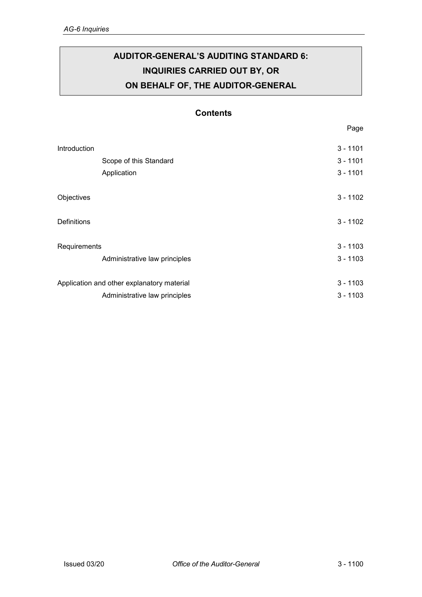# **AUDITOR-GENERAL'S AUDITING STANDARD 6: INQUIRIES CARRIED OUT BY, OR ON BEHALF OF, THE AUDITOR-GENERAL**

# **Contents**

| Introduction                               |                               | $3 - 1101$ |
|--------------------------------------------|-------------------------------|------------|
|                                            | Scope of this Standard        | $3 - 1101$ |
|                                            | Application                   | $3 - 1101$ |
| Objectives                                 |                               | $3 - 1102$ |
| <b>Definitions</b>                         |                               | $3 - 1102$ |
| Requirements                               |                               | $3 - 1103$ |
|                                            | Administrative law principles | $3 - 1103$ |
| Application and other explanatory material |                               | $3 - 1103$ |
|                                            | Administrative law principles | $3 - 1103$ |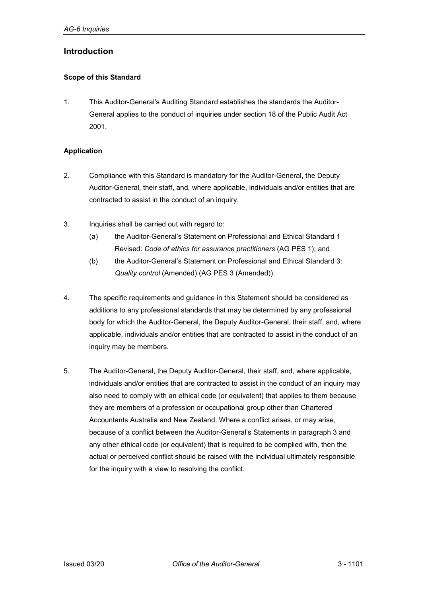# <span id="page-1-0"></span>**Introduction**

#### <span id="page-1-1"></span>**Scope of this Standard**

1. This Auditor-General's Auditing Standard establishes the standards the Auditor-General applies to the conduct of inquiries under section 18 of the Public Audit Act 2001.

#### <span id="page-1-2"></span>**Application**

- 2. Compliance with this Standard is mandatory for the Auditor-General, the Deputy Auditor-General, their staff, and, where applicable, individuals and/or entities that are contracted to assist in the conduct of an inquiry.
- 3. Inquiries shall be carried out with regard to:
	- (a) the Auditor-General's Statement on Professional and Ethical Standard 1 Revised: *Code of ethics for assurance practitioners* (AG PES 1); and
	- (b) the Auditor-General's Statement on Professional and Ethical Standard 3: *Quality control* (Amended) (AG PES 3 (Amended)).
- 4. The specific requirements and guidance in this Statement should be considered as additions to any professional standards that may be determined by any professional body for which the Auditor-General, the Deputy Auditor-General, their staff, and, where applicable, individuals and/or entities that are contracted to assist in the conduct of an inquiry may be members.
- 5. The Auditor-General, the Deputy Auditor-General, their staff, and, where applicable, individuals and/or entities that are contracted to assist in the conduct of an inquiry may also need to comply with an ethical code (or equivalent) that applies to them because they are members of a profession or occupational group other than Chartered Accountants Australia and New Zealand. Where a conflict arises, or may arise, because of a conflict between the Auditor-General's Statements in paragraph 3 and any other ethical code (or equivalent) that is required to be complied with, then the actual or perceived conflict should be raised with the individual ultimately responsible for the inquiry with a view to resolving the conflict.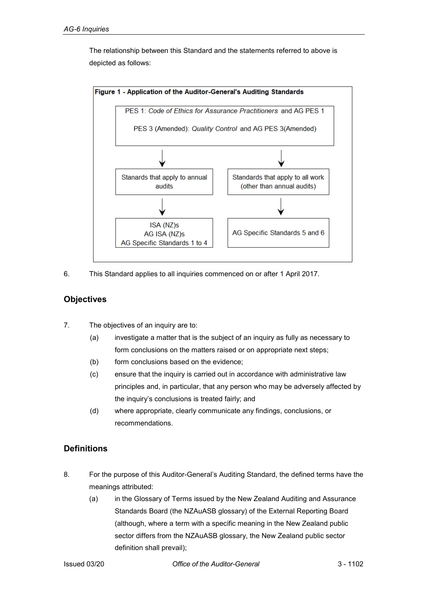

The relationship between this Standard and the statements referred to above is depicted as follows:

6. This Standard applies to all inquiries commenced on or after 1 April 2017.

# <span id="page-2-0"></span>**Objectives**

- 7. The objectives of an inquiry are to:
	- (a) investigate a matter that is the subject of an inquiry as fully as necessary to form conclusions on the matters raised or on appropriate next steps;
	- (b) form conclusions based on the evidence;
	- (c) ensure that the inquiry is carried out in accordance with administrative law principles and, in particular, that any person who may be adversely affected by the inquiry's conclusions is treated fairly; and
	- (d) where appropriate, clearly communicate any findings, conclusions, or recommendations.

# <span id="page-2-1"></span>**Definitions**

- 8. For the purpose of this Auditor-General's Auditing Standard, the defined terms have the meanings attributed:
	- (a) in the Glossary of Terms issued by the New Zealand Auditing and Assurance Standards Board (the NZAuASB glossary) of the External Reporting Board (although, where a term with a specific meaning in the New Zealand public sector differs from the NZAuASB glossary, the New Zealand public sector definition shall prevail);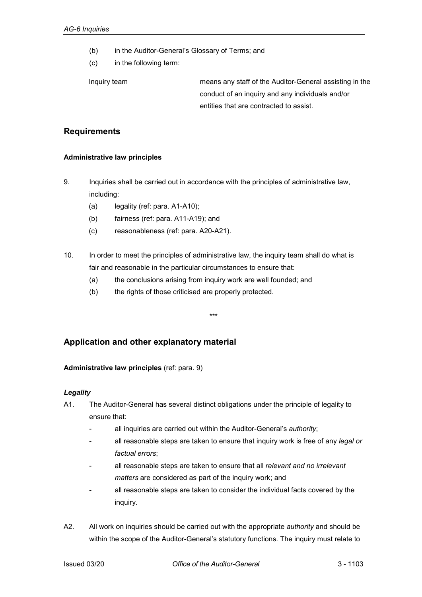- (b) in the Auditor-General's Glossary of Terms; and
- (c) in the following term:

Inquiry team means any staff of the Auditor-General assisting in the conduct of an inquiry and any individuals and/or entities that are contracted to assist.

# <span id="page-3-0"></span>**Requirements**

#### <span id="page-3-1"></span>**Administrative law principles**

- 9. Inquiries shall be carried out in accordance with the principles of administrative law, including:
	- (a) legality (ref: para. A1-A10);
	- (b) fairness (ref: para. A11-A19); and
	- (c) reasonableness (ref: para. A20-A21).
- 10. In order to meet the principles of administrative law, the inquiry team shall do what is fair and reasonable in the particular circumstances to ensure that:

\*\*\*

- (a) the conclusions arising from inquiry work are well founded; and
- (b) the rights of those criticised are properly protected.

# <span id="page-3-2"></span>**Application and other explanatory material**

## <span id="page-3-3"></span>**Administrative law principles** (ref: para. 9)

## *Legality*

- A1. The Auditor-General has several distinct obligations under the principle of legality to ensure that:
	- all inquiries are carried out within the Auditor-General's *authority*;
	- all reasonable steps are taken to ensure that inquiry work is free of any *legal or factual errors*;
	- all reasonable steps are taken to ensure that all *relevant and no irrelevant matters* are considered as part of the inquiry work; and
	- all reasonable steps are taken to consider the individual facts covered by the inquiry.
- A2. All work on inquiries should be carried out with the appropriate *authority* and should be within the scope of the Auditor-General's statutory functions. The inquiry must relate to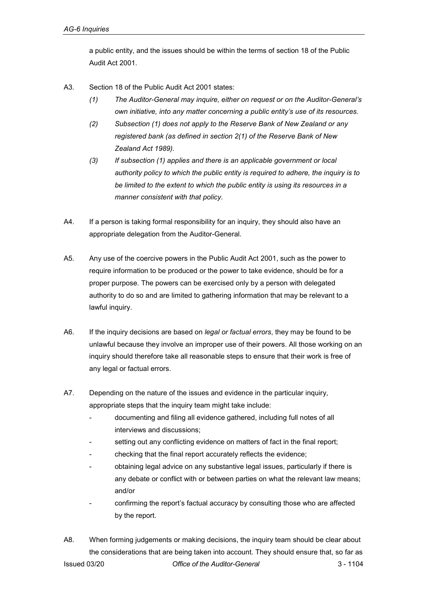a public entity, and the issues should be within the terms of section 18 of the Public Audit Act 2001.

- A3. Section 18 of the Public Audit Act 2001 states:
	- *(1) The Auditor-General may inquire, either on request or on the Auditor-General's own initiative, into any matter concerning a public entity's use of its resources.*
	- *(2) Subsection (1) does not apply to the Reserve Bank of New Zealand or any registered bank (as defined in [section 2\(1\)](http://www.legislation.govt.nz/act/public/2001/0010/latest/link.aspx?id=DLM199370#DLM199370) of the Reserve Bank of New Zealand Act 1989).*
	- *(3) If subsection (1) applies and there is an applicable government or local authority policy to which the public entity is required to adhere, the inquiry is to be limited to the extent to which the public entity is using its resources in a manner consistent with that policy.*
- A4. If a person is taking formal responsibility for an inquiry, they should also have an appropriate delegation from the Auditor-General.
- A5. Any use of the coercive powers in the Public Audit Act 2001, such as the power to require information to be produced or the power to take evidence, should be for a proper purpose. The powers can be exercised only by a person with delegated authority to do so and are limited to gathering information that may be relevant to a lawful inquiry.
- A6. If the inquiry decisions are based on *legal or factual errors*, they may be found to be unlawful because they involve an improper use of their powers. All those working on an inquiry should therefore take all reasonable steps to ensure that their work is free of any legal or factual errors.
- A7. Depending on the nature of the issues and evidence in the particular inquiry, appropriate steps that the inquiry team might take include:
	- documenting and filing all evidence gathered, including full notes of all interviews and discussions;
	- setting out any conflicting evidence on matters of fact in the final report;
	- checking that the final report accurately reflects the evidence;
	- obtaining legal advice on any substantive legal issues, particularly if there is any debate or conflict with or between parties on what the relevant law means; and/or
	- confirming the report's factual accuracy by consulting those who are affected by the report.
- Issued 03/20 *Office of the Auditor-General* 3 1104 A8. When forming judgements or making decisions, the inquiry team should be clear about the considerations that are being taken into account. They should ensure that, so far as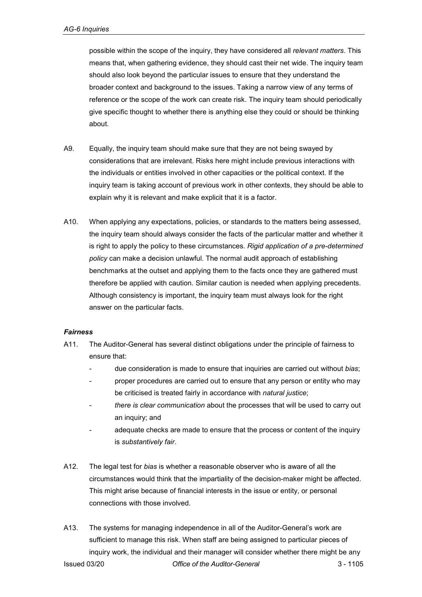possible within the scope of the inquiry, they have considered all *relevant matters*. This means that, when gathering evidence, they should cast their net wide. The inquiry team should also look beyond the particular issues to ensure that they understand the broader context and background to the issues. Taking a narrow view of any terms of reference or the scope of the work can create risk. The inquiry team should periodically give specific thought to whether there is anything else they could or should be thinking about.

- A9. Equally, the inquiry team should make sure that they are not being swayed by considerations that are irrelevant. Risks here might include previous interactions with the individuals or entities involved in other capacities or the political context. If the inquiry team is taking account of previous work in other contexts, they should be able to explain why it is relevant and make explicit that it is a factor.
- A10. When applying any expectations, policies, or standards to the matters being assessed, the inquiry team should always consider the facts of the particular matter and whether it is right to apply the policy to these circumstances. *Rigid application of a pre-determined policy* can make a decision unlawful. The normal audit approach of establishing benchmarks at the outset and applying them to the facts once they are gathered must therefore be applied with caution. Similar caution is needed when applying precedents. Although consistency is important, the inquiry team must always look for the right answer on the particular facts.

## *Fairness*

- A11. The Auditor-General has several distinct obligations under the principle of fairness to ensure that:
	- due consideration is made to ensure that inquiries are carried out without *bias*;
	- proper procedures are carried out to ensure that any person or entity who may be criticised is treated fairly in accordance with *natural justice*;
	- *there is clear communication* about the processes that will be used to carry out an inquiry; and
	- adequate checks are made to ensure that the process or content of the inquiry is *substantively fair*.
- A12. The legal test for *bias* is whether a reasonable observer who is aware of all the circumstances would think that the impartiality of the decision-maker might be affected. This might arise because of financial interests in the issue or entity, or personal connections with those involved.
- Issued 03/20 *Office of the Auditor-General* 3 1105 A13. The systems for managing independence in all of the Auditor-General's work are sufficient to manage this risk. When staff are being assigned to particular pieces of inquiry work, the individual and their manager will consider whether there might be any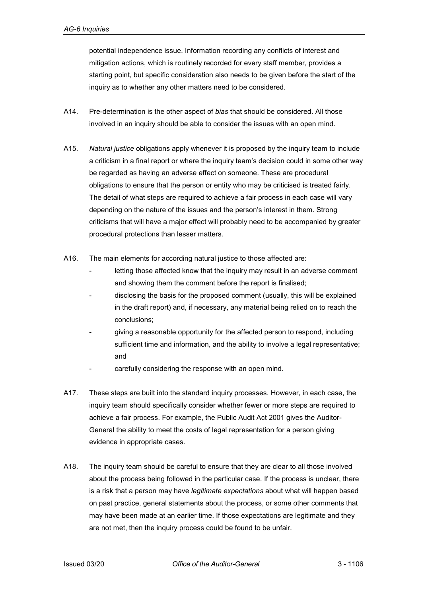potential independence issue. Information recording any conflicts of interest and mitigation actions, which is routinely recorded for every staff member, provides a starting point, but specific consideration also needs to be given before the start of the inquiry as to whether any other matters need to be considered.

- A14. Pre-determination is the other aspect of *bias* that should be considered. All those involved in an inquiry should be able to consider the issues with an open mind.
- A15. *Natural justice* obligations apply whenever it is proposed by the inquiry team to include a criticism in a final report or where the inquiry team's decision could in some other way be regarded as having an adverse effect on someone. These are procedural obligations to ensure that the person or entity who may be criticised is treated fairly. The detail of what steps are required to achieve a fair process in each case will vary depending on the nature of the issues and the person's interest in them. Strong criticisms that will have a major effect will probably need to be accompanied by greater procedural protections than lesser matters.
- A16. The main elements for according natural justice to those affected are:
	- letting those affected know that the inquiry may result in an adverse comment and showing them the comment before the report is finalised;
	- disclosing the basis for the proposed comment (usually, this will be explained in the draft report) and, if necessary, any material being relied on to reach the conclusions;
	- giving a reasonable opportunity for the affected person to respond, including sufficient time and information, and the ability to involve a legal representative; and
	- carefully considering the response with an open mind.
- A17. These steps are built into the standard inquiry processes. However, in each case, the inquiry team should specifically consider whether fewer or more steps are required to achieve a fair process. For example, the Public Audit Act 2001 gives the Auditor-General the ability to meet the costs of legal representation for a person giving evidence in appropriate cases.
- A18. The inquiry team should be careful to ensure that they are clear to all those involved about the process being followed in the particular case. If the process is unclear, there is a risk that a person may have *legitimate expectations* about what will happen based on past practice, general statements about the process, or some other comments that may have been made at an earlier time. If those expectations are legitimate and they are not met, then the inquiry process could be found to be unfair.